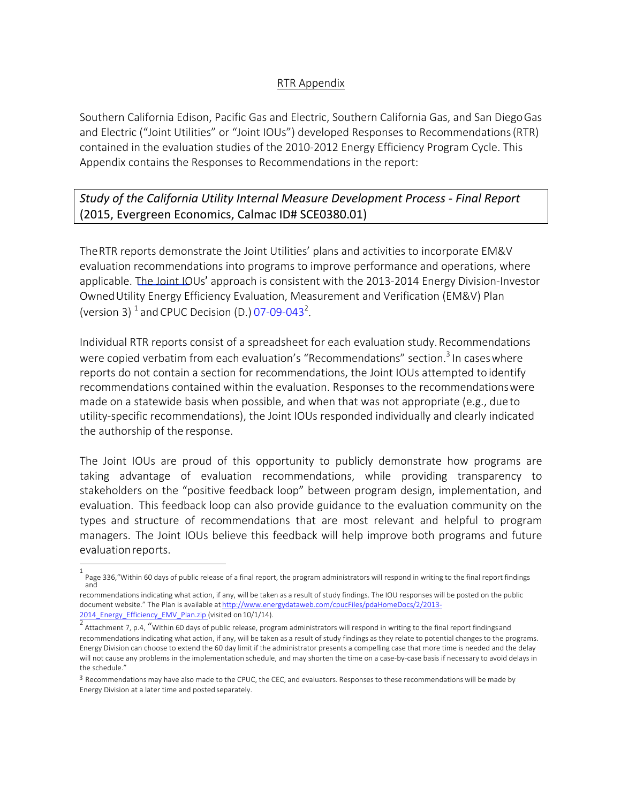## RTR Appendix

Southern California Edison, Pacific Gas and Electric, Southern California Gas, and San DiegoGas and Electric ("Joint Utilities" or "Joint IOUs") developed Responses to Recommendations(RTR) contained in the evaluation studies of the 2010-2012 Energy Efficiency Program Cycle. This Appendix contains the Responses to Recommendations in the report:

## *Study of the California Utility Internal Measure Development Process - Final Report*  (2015, Evergreen Economics, Calmac ID# SCE0380.01)

TheRTR reports demonstrate the Joint Utilities' plans and activities to incorporate EM&V evaluation recommendations into programs to improve performance and operations, where applicable. The Joint IOUs' approach is consistent with the 2013-2014 Energy Division-Investor OwnedUtility Energy Efficiency Evaluation, Measurement and Verification (EM&V) Plan (version 3)  $^1$  and CPUC Decision (D.) 07-09-043<sup>2</sup>.

Individual RTR reports consist of a spreadsheet for each evaluation study.Recommendations were copied verbatim from each evaluation's "Recommendations" section.<sup>3</sup> In cases where reports do not contain a section for recommendations, the Joint IOUs attempted to identify recommendations contained within the evaluation. Responses to the recommendationswere made on a statewide basis when possible, and when that was not appropriate (e.g., dueto utility-specific recommendations), the Joint IOUs responded individually and clearly indicated the authorship of the response.

The Joint IOUs are proud of this opportunity to publicly demonstrate how programs are taking advantage of evaluation recommendations, while providing transparency to stakeholders on the "positive feedback loop" between program design, implementation, and evaluation. This feedback loop can also provide guidance to the evaluation community on the types and structure of recommendations that are most relevant and helpful to program managers. The Joint IOUs believe this feedback will help improve both programs and future evaluationreports.

<sup>1</sup> Page 336,"Within 60 days of public release of a final report, the program administrators will respond in writing to the final report findings and

recommendations indicating what action, if any, will be taken as a result of study findings. The IOU responses will be posted on the public document website." The Plan is available at http://www.energydataweb.com/cpucFiles/pdaHomeDocs/2/2013- 2014\_Energy\_Efficiency\_EMV\_Plan.zip (visited on 10/1/14).

<sup>&</sup>lt;sup>2</sup> Attachment 7, p.4, "Within 60 days of public release, program administrators will respond in writing to the final report findingsand recommendations indicating what action, if any, will be taken as a result of study findings as they relate to potential changes to the programs. Energy Division can choose to extend the 60 day limit if the administrator presents a compelling case that more time is needed and the delay will not cause any problems in the implementation schedule, and may shorten the time on a case-by-case basis if necessary to avoid delays in the schedule."

<sup>3</sup> Recommendations may have also made to the CPUC, the CEC, and evaluators. Responses to these recommendations will be made by Energy Division at a later time and posted separately.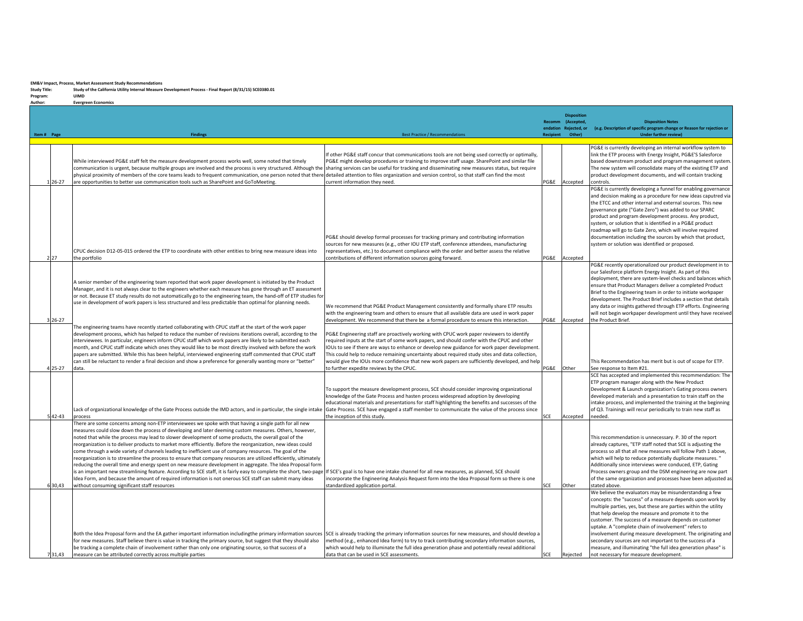## **EM&V** Impact, Process, Market Assessment Study Recommendations<br>Study Title: Study of the California Utility Internal Measure I

**Study Title: Study of the California Utility Internal Measure Development Process - Final Report (8/31/15) SCE0380.01**

Program: **UIMD Author: Evergreen Economics**

| Item # Page | <b>Findings</b>                                                                                                                                                                                                                                                                                                                                                                                                                                                                                                                                                                                                                                                                                                                                                                                                                                                                                                                                                                                                                                                                                                                                                        | <b>Best Practice / Recommendations</b>                                                                                                                                                                                                                                                                                                                                                                                                                                                                                                   | <b>Recipient</b> | <b>Disposition</b><br>Recomm (Accepted,<br>endation Rejected, or<br>Other) | <b>Disposition Notes</b><br>(e.g. Description of specific program change or Reason for rejection or<br><b>Under further review)</b>                                                                                                                                                                                                                                                                                                                                                                                                                                                                  |
|-------------|------------------------------------------------------------------------------------------------------------------------------------------------------------------------------------------------------------------------------------------------------------------------------------------------------------------------------------------------------------------------------------------------------------------------------------------------------------------------------------------------------------------------------------------------------------------------------------------------------------------------------------------------------------------------------------------------------------------------------------------------------------------------------------------------------------------------------------------------------------------------------------------------------------------------------------------------------------------------------------------------------------------------------------------------------------------------------------------------------------------------------------------------------------------------|------------------------------------------------------------------------------------------------------------------------------------------------------------------------------------------------------------------------------------------------------------------------------------------------------------------------------------------------------------------------------------------------------------------------------------------------------------------------------------------------------------------------------------------|------------------|----------------------------------------------------------------------------|------------------------------------------------------------------------------------------------------------------------------------------------------------------------------------------------------------------------------------------------------------------------------------------------------------------------------------------------------------------------------------------------------------------------------------------------------------------------------------------------------------------------------------------------------------------------------------------------------|
| 126-27      | While interviewed PG&E staff felt the measure development process works well, some noted that timely<br>communication is urgent, because multiple groups are involved and the process is very structured. Although the sharing services can be useful for tracking and disseminating new measures status, but require<br>physical proximity of members of the core teams leads to frequent communication, one person noted that there detailed attention to files organization and version control, so that staff can find the most<br>are opportunities to better use communication tools such as SharePoint and GoToMeeting.                                                                                                                                                                                                                                                                                                                                                                                                                                                                                                                                         | If other PG&E staff concur that communications tools are not being used correctly or optimally,<br>PG&E might develop procedures or training to improve staff usage. SharePoint and similar file<br>current information they need.                                                                                                                                                                                                                                                                                                       | PG&E             | Accepted                                                                   | PG&E is currently developing an internal workflow system to<br>link the ETP process with Energy Insight, PG&E'S Salesforce<br>based downstream product and program management system<br>The new system will consolidate many of the existing ETP and<br>product development documents, and will contain tracking<br>controls.                                                                                                                                                                                                                                                                        |
| 2 27        | CPUC decision D12-05-015 ordered the ETP to coordinate with other entities to bring new measure ideas into<br>the portfolio                                                                                                                                                                                                                                                                                                                                                                                                                                                                                                                                                                                                                                                                                                                                                                                                                                                                                                                                                                                                                                            | PG&E should develop formal processes for tracking primary and contributing information<br>sources for new measures (e.g., other IOU ETP staff, conference attendees, manufacturing<br>representatives, etc.) to document compliance with the order and better assess the relative<br>contributions of different information sources going forward.                                                                                                                                                                                       |                  | PG&E Accepted                                                              | PG&E is currently developing a funnel for enabling governance<br>and decision making as a procedure for new ideas caputred via<br>the ETCC and other internal and external sources. This new<br>governance gate ("Gate Zero") was added to our SPARC<br>product and program development process. Any product,<br>system, or solution that is identified in a PG&E product<br>roadmap will go to Gate Zero, which will involve required<br>documentation including the sources by which that product,<br>system or solution was identified or proposed.                                               |
| $3 26-27$   | A senior member of the engineering team reported that work paper development is initiated by the Product<br>Manager, and it is not always clear to the engineers whether each measure has gone through an ET assessment<br>or not. Because ET study results do not automatically go to the engineering team, the hand-off of ETP studies for<br>use in development of work papers is less structured and less predictable than optimal for planning needs.                                                                                                                                                                                                                                                                                                                                                                                                                                                                                                                                                                                                                                                                                                             | We recommend that PG&E Product Management consistently and formally share ETP results<br>with the engineering team and others to ensure that all available data are used in work paper<br>development. We recommend that there be a formal procedure to ensure this interaction.                                                                                                                                                                                                                                                         | PG&E             | Accepted                                                                   | PG&E recently operationalized our product development in to<br>our Salesforce platform Energy Insight. As part of this<br>deployment, there are system-level checks and balances which<br>ensure that Product Managers deliver a completed Product<br>Brief to the Engineering team in order to initiate workpaper<br>development. The Product Brief includes a section that details<br>any data or insights gathered through ETP efforts. Engineering<br>will not begin workpaper development until they have received<br>the Product Brief.                                                        |
| $4 25-27$   | The engineering teams have recently started collaborating with CPUC staff at the start of the work paper<br>development process, which has helped to reduce the number of revisions iterations overall, according to the<br>interviewees. In particular, engineers inform CPUC staff which work papers are likely to be submitted each<br>month, and CPUC staff indicate which ones they would like to be most directly involved with before the work<br>papers are submitted. While this has been helpful, interviewed engineering staff commented that CPUC staff<br>can still be reluctant to render a final decision and show a preference for generally wanting more or "better"<br>ldata.                                                                                                                                                                                                                                                                                                                                                                                                                                                                        | PG&E Engineering staff are proactively working with CPUC work paper reviewers to identify<br>required inputs at the start of some work papers, and should confer with the CPUC and other<br>IOUs to see if there are ways to enhance or develop new guidance for work paper development.<br>This could help to reduce remaining uncertainty about required study sites and data collection,<br>would give the IOUs more confidence that new work papers are sufficiently developed, and help<br>to further expedite reviews by the CPUC. | PG&E             | lOther                                                                     | This Recommendation has merit but is out of scope for ETP.<br>See response to Item #21.                                                                                                                                                                                                                                                                                                                                                                                                                                                                                                              |
| $5 42-43$   | Lack of organizational knowledge of the Gate Process outside the IMD actors, and in particular, the single intake Gate Process. SCE have engaged a staff member to communicate the value of the process since<br>process                                                                                                                                                                                                                                                                                                                                                                                                                                                                                                                                                                                                                                                                                                                                                                                                                                                                                                                                               | To support the measure development process, SCE should consider improving organizational<br>knowledge of the Gate Process and hasten process widespread adoption by developing<br>educational materials and presentations for staff highlighting the benefits and successes of the<br>the inception of this study.                                                                                                                                                                                                                       | SCE              | Accepted                                                                   | SCE has accepted and implemented this recommendation: The<br>ETP program manager along with the New Product<br>Development & Launch organization's Gating process owners<br>developed materials and a presentation to train staff on the<br>intake process, and implemented the training at the beginning<br>of Q3. Trainings will recur periodically to train new staff as<br>needed.                                                                                                                                                                                                               |
| 6 30,43     | There are some concerns among non-ETP interviewees we spoke with that having a single path for all new<br>measures could slow down the process of developing and later deeming custom measures. Others, however,<br>noted that while the process may lead to slower development of some products, the overall goal of the<br>reorganization is to deliver products to market more efficiently. Before the reorganization, new ideas could<br>come through a wide variety of channels leading to inefficient use of company resources. The goal of the<br>reorganization is to streamline the process to ensure that company resources are utilized efficiently, ultimately<br>reducing the overall time and energy spent on new measure development in aggregate. The Idea Proposal form<br>is an important new streamlining feature. According to SCE staff, it is fairly easy to complete the short, two-page  If SCE's goal is to have one intake channel for all new measures, as planned, SCE should<br>Idea Form, and because the amount of required information is not onerous SCE staff can submit many ideas<br>without consuming significant staff resources | incorporate the Engineering Analysis Request form into the Idea Proposal form so there is one<br>standardized application portal.                                                                                                                                                                                                                                                                                                                                                                                                        | SCE              | Other                                                                      | This recommendation is unnecessary. P. 30 of the report<br>already captures, "ETP staff noted that SCE is adjusting the<br>process so all that all new measures will follow Path 1 above,<br>which will help to reduce potentially duplicate measures."<br>Additionally since interviews were conduced, ETP, Gating<br>Process owners group and the DSM engineering are now part<br>of the same organization and processes have been adjussted as<br>stated above.                                                                                                                                   |
| 731,43      | Both the Idea Proposal form and the EA gather important information includingthe primary information sources SCE is already tracking the primary information sources for new measures, and should develop a<br>for new measures. Staff believe there is value in tracking the primary source, but suggest that they should also<br>be tracking a complete chain of involvement rather than only one originating source, so that success of a<br>measure can be attributed correctly across multiple parties                                                                                                                                                                                                                                                                                                                                                                                                                                                                                                                                                                                                                                                            | method (e.g., enhanced Idea form) to try to track contributing secondary information sources,<br>which would help to illuminate the full idea generation phase and potentially reveal additional<br>data that can be used in SCE assessments.                                                                                                                                                                                                                                                                                            | SCE              | Rejected                                                                   | We believe the evaluators may be misunderstanding a few<br>concepts: the "success" of a measure depends upon work by<br>multiple parties, yes, but these are parties within the utility<br>that help develop the measure and promote it to the<br>customer. The success of a measure depends on customer<br>uptake. A "complete chain of involvement" refers to<br>involvement during measure development. The originating and<br>secondary sources are not important to the success of a<br>measure, and illuminating "the full idea generation phase" is<br>not necessary for measure development. |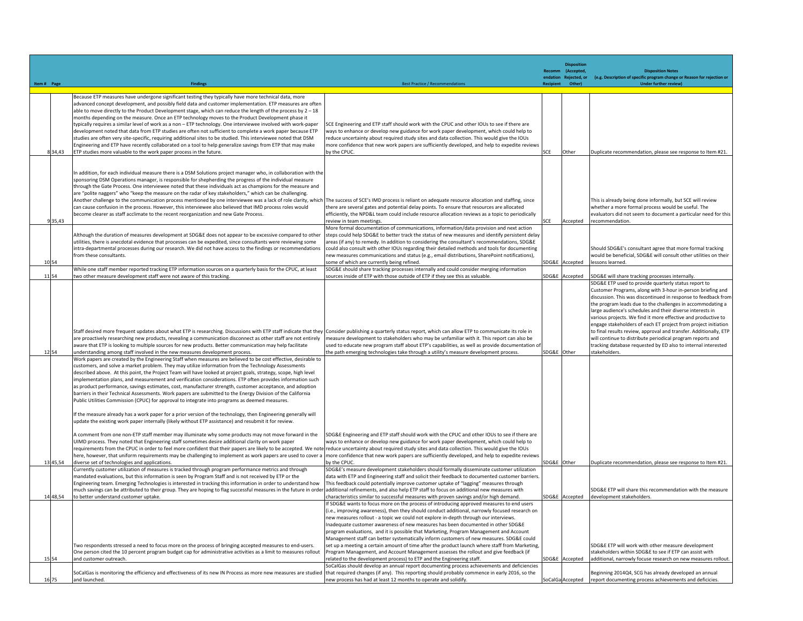|             |                |                                                                                                                                                                                                                                                                                                                                                                                                                                                                                                                                                                                                                                                                                                                                                                                                                                                                                                                                                                                                                                                                                                                                                                                                                                                                                                                                                                                                                                                                                                                                                                                          |                                                                                                                                                                                                                                                                                                                                                                                                                                                                                                                                                                                                                                                                                                                                                                                                                                                                                                                                                                                                                                                                                                     |             | <b>Dispositio</b>                          |                                                                                                                                                                                                                                                                                                                                                                                                                                                                                                                                                                                                                                                                          |
|-------------|----------------|------------------------------------------------------------------------------------------------------------------------------------------------------------------------------------------------------------------------------------------------------------------------------------------------------------------------------------------------------------------------------------------------------------------------------------------------------------------------------------------------------------------------------------------------------------------------------------------------------------------------------------------------------------------------------------------------------------------------------------------------------------------------------------------------------------------------------------------------------------------------------------------------------------------------------------------------------------------------------------------------------------------------------------------------------------------------------------------------------------------------------------------------------------------------------------------------------------------------------------------------------------------------------------------------------------------------------------------------------------------------------------------------------------------------------------------------------------------------------------------------------------------------------------------------------------------------------------------|-----------------------------------------------------------------------------------------------------------------------------------------------------------------------------------------------------------------------------------------------------------------------------------------------------------------------------------------------------------------------------------------------------------------------------------------------------------------------------------------------------------------------------------------------------------------------------------------------------------------------------------------------------------------------------------------------------------------------------------------------------------------------------------------------------------------------------------------------------------------------------------------------------------------------------------------------------------------------------------------------------------------------------------------------------------------------------------------------------|-------------|--------------------------------------------|--------------------------------------------------------------------------------------------------------------------------------------------------------------------------------------------------------------------------------------------------------------------------------------------------------------------------------------------------------------------------------------------------------------------------------------------------------------------------------------------------------------------------------------------------------------------------------------------------------------------------------------------------------------------------|
|             |                |                                                                                                                                                                                                                                                                                                                                                                                                                                                                                                                                                                                                                                                                                                                                                                                                                                                                                                                                                                                                                                                                                                                                                                                                                                                                                                                                                                                                                                                                                                                                                                                          |                                                                                                                                                                                                                                                                                                                                                                                                                                                                                                                                                                                                                                                                                                                                                                                                                                                                                                                                                                                                                                                                                                     |             | Recomm (Accepted,<br>endation Rejected, or | <b>Disposition Notes</b><br>(e.g. Description of specific program change or Reason for rejection or                                                                                                                                                                                                                                                                                                                                                                                                                                                                                                                                                                      |
| Item # Page |                |                                                                                                                                                                                                                                                                                                                                                                                                                                                                                                                                                                                                                                                                                                                                                                                                                                                                                                                                                                                                                                                                                                                                                                                                                                                                                                                                                                                                                                                                                                                                                                                          | <b>Best Practice / Recommendation</b>                                                                                                                                                                                                                                                                                                                                                                                                                                                                                                                                                                                                                                                                                                                                                                                                                                                                                                                                                                                                                                                               |             | Otherl                                     | <b>Under further review)</b>                                                                                                                                                                                                                                                                                                                                                                                                                                                                                                                                                                                                                                             |
|             | 834,43         | Because ETP measures have undergone significant testing they typically have more technical data, more<br>advanced concept development, and possibly field data and customer implementation. ETP measures are often<br>able to move directly to the Product Development stage, which can reduce the length of the process by 2 - 18<br>months depending on the measure. Once an ETP technology moves to the Product Development phase it<br>typically requires a similar level of work as a non - ETP technology. One interviewee involved with work-paper<br>development noted that data from ETP studies are often not sufficient to complete a work paper because ETP<br>studies are often very site-specific, requiring additional sites to be studied. This interviewee noted that DSM<br>Engineering and ETP have recently collaborated on a tool to help generalize savings from ETP that may make<br>ETP studies more valuable to the work paper process in the future.                                                                                                                                                                                                                                                                                                                                                                                                                                                                                                                                                                                                           | SCE Engineering and ETP staff should work with the CPUC and other IOUs to see if there are<br>ways to enhance or develop new guidance for work paper development, which could help to<br>reduce uncertainty about required study sites and data collection. This would give the IOUs<br>more confidence that new work papers are sufficiently developed, and help to expedite reviews<br>by the CPUC.                                                                                                                                                                                                                                                                                                                                                                                                                                                                                                                                                                                                                                                                                               | SCE         | Other                                      | Duplicate recommendation, please see response to Item #21.                                                                                                                                                                                                                                                                                                                                                                                                                                                                                                                                                                                                               |
|             | 9 35,43        | In addition, for each individual measure there is a DSM Solutions project manager who, in collaboration with the<br>sponsoring DSM Operations manager, is responsible for shepherding the progress of the individual measure<br>through the Gate Process. One interviewee noted that these individuals act as champions for the measure and<br>are "polite naggers" who "keep the measure on the radar of key stakeholders," which can be challenging.<br>Another challenge to the communication process mentioned by one interviewee was a lack of role clarity, which  The success of SCE's IMD process is reliant on adequate resource allocation and staffing, since<br>can cause confusion in the process. However, this interviewee also believed that IMD process roles would<br>become clearer as staff acclimate to the recent reorganization and new Gate Process.                                                                                                                                                                                                                                                                                                                                                                                                                                                                                                                                                                                                                                                                                                             | there are several gates and potential delay points. To ensure that resources are allocated<br>efficiently, the NPD&L team could include resource allocation reviews as a topic to periodically<br>review in team meetings.                                                                                                                                                                                                                                                                                                                                                                                                                                                                                                                                                                                                                                                                                                                                                                                                                                                                          | SCE         | Accepted                                   | This is already being done informally, but SCE will review<br>whether a more formal process would be useful. The<br>evaluators did not seem to document a particular need for this<br>recommendation.                                                                                                                                                                                                                                                                                                                                                                                                                                                                    |
|             | 10 54          | Although the duration of measures development at SDG&E does not appear to be excessive compared to other<br>utilities, there is anecdotal evidence that processes can be expedited, since consultants were reviewing some<br>intra-departmental processes during our research. We did not have access to the findings or recommendations<br>from these consultants.                                                                                                                                                                                                                                                                                                                                                                                                                                                                                                                                                                                                                                                                                                                                                                                                                                                                                                                                                                                                                                                                                                                                                                                                                      | More formal documentation of communications, information/data provision and next action<br>steps could help SDG&E to better track the status of new measures and identify persistent delay<br>areas (if any) to remedy. In addition to considering the consultant's recommendations, SDG&E<br>could also consult with other IOUs regarding their detailed methods and tools for documenting<br>new measures communications and status (e.g., email distributions, SharePoint notifications),<br>some of which are currently being refined.                                                                                                                                                                                                                                                                                                                                                                                                                                                                                                                                                          | SDG&E       | Accepted                                   | Should SDG&E's consultant agree that more formal tracking<br>would be beneficial, SDG&E will consult other utilities on their<br>lessons learned.                                                                                                                                                                                                                                                                                                                                                                                                                                                                                                                        |
|             | 11 54          | While one staff member reported tracking ETP information sources on a quarterly basis for the CPUC, at least<br>two other measure development staff were not aware of this tracking.                                                                                                                                                                                                                                                                                                                                                                                                                                                                                                                                                                                                                                                                                                                                                                                                                                                                                                                                                                                                                                                                                                                                                                                                                                                                                                                                                                                                     | SDG&E should share tracking processes internally and could consider merging information<br>sources inside of ETP with those outside of ETP if they see this as valuable.                                                                                                                                                                                                                                                                                                                                                                                                                                                                                                                                                                                                                                                                                                                                                                                                                                                                                                                            |             | SDG&E Accepted                             | SDG&E will share tracking processes internally.                                                                                                                                                                                                                                                                                                                                                                                                                                                                                                                                                                                                                          |
|             | 12 54          | Staff desired more frequent updates about what ETP is researching. Discussions with ETP staff indicate that they Consider publishing a quarterly status report, which can allow ETP to communicate its role in<br>are proactively researching new products, revealing a communication disconnect as other staff are not entirely<br>aware that ETP is looking to multiple sources for new products. Better communication may help facilitate<br>understanding among staff involved in the new measures development process.<br>Work papers are created by the Engineering Staff when measures are believed to be cost effective, desirable to                                                                                                                                                                                                                                                                                                                                                                                                                                                                                                                                                                                                                                                                                                                                                                                                                                                                                                                                            | measure development to stakeholders who may be unfamiliar with it. This report can also be<br>used to educate new program staff about ETP's capabilities, as well as provide documentation of<br>the path emerging technologies take through a utility's measure development process.                                                                                                                                                                                                                                                                                                                                                                                                                                                                                                                                                                                                                                                                                                                                                                                                               | SDG&E Other |                                            | SDG&E ETP used to provide quarterly status report to<br>Customer Programs, along with 3-hour in-person briefing and<br>discussion. This was discontinued in response to feedback from<br>the program leads due to the challenges in accommodating a<br>large audience's schedules and their diverse interests in<br>various projects. We find it more effective and productive to<br>engage stakeholders of each ET project from project initiation<br>to final results review, approval and transfer. Additionally, ETP<br>will continue to distribute periodical program reports and<br>tracking database requested by ED also to internal interested<br>stakeholders. |
|             | 13 45,54       | customers, and solve a market problem. They may utilize information from the Technology Assessments<br>described above. At this point, the Project Team will have looked at project goals, strategy, scope, high level<br>implementation plans, and measurement and verification considerations. ETP often provides information such<br>as product performance, savings estimates, cost, manufacturer strength, customer acceptance, and adoption<br>barriers in their Technical Assessments. Work papers are submitted to the Energy Division of the California<br>Public Utilities Commission (CPUC) for approval to integrate into programs as deemed measures.<br>If the measure already has a work paper for a prior version of the technology, then Engineering generally will<br>update the existing work paper internally (likely without ETP assistance) and resubmit it for review.<br>A comment from one non-ETP staff member may illuminate why some products may not move forward in the<br>UIMD process. They noted that Engineering staff sometimes desire additional clarity on work paper<br>requirements from the CPUC in order to feel more confident that their papers are likely to be accepted. We note reduce uncertainty about required study sites and data collection. This would give the IOUs<br>here, however, that uniform requirements may be challenging to implement as work papers are used to cover a  more confidence that new work papers are sufficiently developed, and help to expedite reviews<br>diverse set of technologies and applications. | SDG&E Engineering and ETP staff should work with the CPUC and other IOUs to see if there are<br>ways to enhance or develop new guidance for work paper development, which could help to<br>by the CPUC.                                                                                                                                                                                                                                                                                                                                                                                                                                                                                                                                                                                                                                                                                                                                                                                                                                                                                             | SDG&E Other |                                            | Duplicate recommendation, please see response to Item #21.                                                                                                                                                                                                                                                                                                                                                                                                                                                                                                                                                                                                               |
|             | 14 48,54       | Currently customer utilization of measures is tracked through program performance metrics and through<br>mandated evaluations, but this information is seen by Program Staff and is not received by ETP or the<br>Engineering team. Emerging Technologies is interested in tracking this information in order to understand how<br>much savings can be attributed to their group. They are hoping to flag successful measures in the future in order additional refinements, and also help ETP staff to focus on additional new measures with<br>to better understand customer uptake.                                                                                                                                                                                                                                                                                                                                                                                                                                                                                                                                                                                                                                                                                                                                                                                                                                                                                                                                                                                                   | SDG&E's measure development stakeholders should formally disseminate customer utilization<br>data with ETP and Engineering staff and solicit their feedback to documented customer barriers.<br>This feedback could potentially improve customer uptake of "lagging" measures through<br>characteristics similar to successful measures with proven savings and/or high demand.                                                                                                                                                                                                                                                                                                                                                                                                                                                                                                                                                                                                                                                                                                                     |             | SDG&E Accepted                             | SDG&E ETP will share this recommendation with the measure<br>development stakeholders.                                                                                                                                                                                                                                                                                                                                                                                                                                                                                                                                                                                   |
|             | 15 54<br>16 75 | Two respondents stressed a need to focus more on the process of bringing accepted measures to end-users.<br>One person cited the 10 percent program budget cap for administrative activities as a limit to measures rollout<br>and customer outreach.<br>SoCalGas is monitoring the efficiency and effectiveness of its new IN Process as more new measures are studied<br>and launched.                                                                                                                                                                                                                                                                                                                                                                                                                                                                                                                                                                                                                                                                                                                                                                                                                                                                                                                                                                                                                                                                                                                                                                                                 | If SDG&E wants to focus more on the process of introducing approved measures to end users<br>(i.e., improving awareness), then they should conduct additional, narrowly focused research on<br>new measures rollout - a topic we could not explore in-depth through our interviews.<br>Inadequate customer awareness of new measures has been documented in other SDG&E<br>program evaluations, and it is possible that Marketing, Program Management and Account<br>Management staff can better systematically inform customers of new measures. SDG&E could<br>set up a meeting a certain amount of time after the product launch where staff from Marketing,<br>Program Management, and Account Management assesses the rollout and give feedback (if<br>related to the development process) to ETP and the Engineering staff.<br>SoCalGas should develop an annual report documenting process achievements and deficiencies<br>that required changes (if any). This reporting should probably commence in early 2016, so the<br>new process has had at least 12 months to operate and solidify. |             | SDG&E Accepted<br>SoCalGa Accepted         | SDG&E ETP will work with other measure development<br>stakeholders within SDG&E to see if ETP can assist with<br>additional, narrowly focuse research on new measures rollout.<br>Beginning 2014Q4, SCG has already developed an annual<br>report documenting process achievements and deficicies.                                                                                                                                                                                                                                                                                                                                                                       |